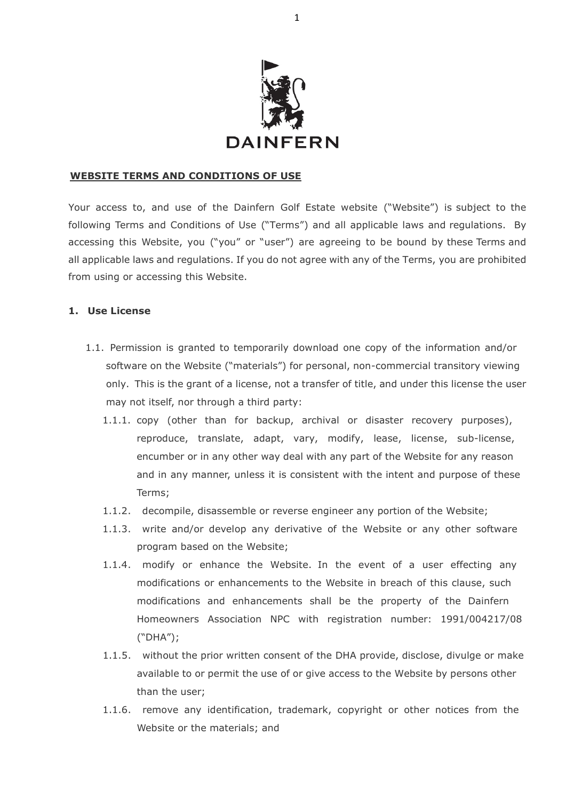

## **WEBSITE TERMS AND CONDITIONS OF USE**

Your access to, and use of the Dainfern Golf Estate website ("Website") is subject to the following Terms and Conditions of Use ("Terms") and all applicable laws and regulations. By accessing this Website, you ("you" or "user") are agreeing to be bound by these Terms and all applicable laws and regulations. If you do not agree with any of the Terms, you are prohibited from using or accessing this Website.

### **1. Use License**

- 1.1. Permission is granted to temporarily download one copy of the information and/or software on the Website ("materials") for personal, non-commercial transitory viewing only. This is the grant of a license, not a transfer of title, and under this license the user may not itself, nor through a third party:
	- 1.1.1. copy (other than for backup, archival or disaster recovery purposes), reproduce, translate, adapt, vary, modify, lease, license, sub-license, encumber or in any other way deal with any part of the Website for any reason and in any manner, unless it is consistent with the intent and purpose of these Terms;
	- 1.1.2. decompile, disassemble or reverse engineer any portion of the Website;
	- 1.1.3. write and/or develop any derivative of the Website or any other software program based on the Website;
	- 1.1.4. modify or enhance the Website. In the event of a user effecting any modifications or enhancements to the Website in breach of this clause, such modifications and enhancements shall be the property of the Dainfern Homeowners Association NPC with registration number: 1991/004217/08 ("DHA");
	- 1.1.5. without the prior written consent of the DHA provide, disclose, divulge or make available to or permit the use of or give access to the Website by persons other than the user;
	- 1.1.6. remove any identification, trademark, copyright or other notices from the Website or the materials; and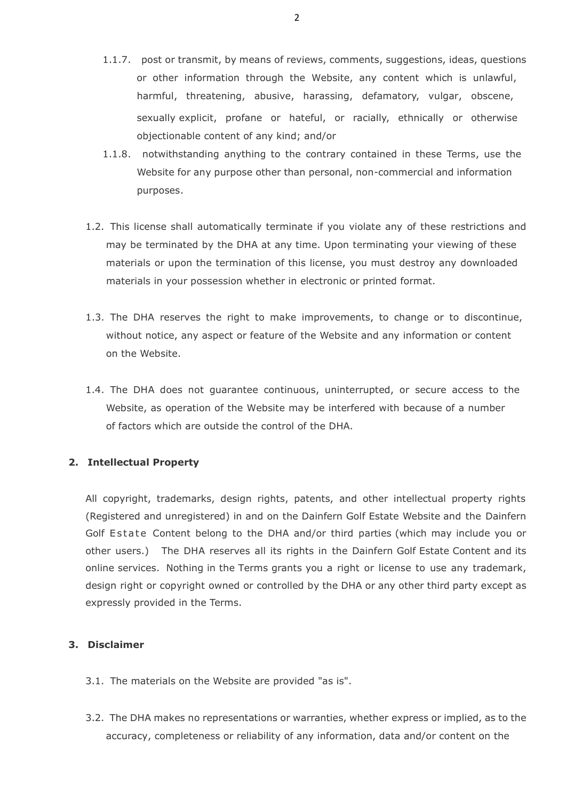- 1.1.7. post or transmit, by means of reviews, comments, suggestions, ideas, questions or other information through the Website, any content which is unlawful, harmful, threatening, abusive, harassing, defamatory, vulgar, obscene, sexually explicit, profane or hateful, or racially, ethnically or otherwise objectionable content of any kind; and/or
- 1.1.8. notwithstanding anything to the contrary contained in these Terms, use the Website for any purpose other than personal, non-commercial and information purposes.
- 1.2. This license shall automatically terminate if you violate any of these restrictions and may be terminated by the DHA at any time. Upon terminating your viewing of these materials or upon the termination of this license, you must destroy any downloaded materials in your possession whether in electronic or printed format.
- 1.3. The DHA reserves the right to make improvements, to change or to discontinue, without notice, any aspect or feature of the Website and any information or content on the Website.
- 1.4. The DHA does not guarantee continuous, uninterrupted, or secure access to the Website, as operation of the Website may be interfered with because of a number of factors which are outside the control of the DHA.

## **2. Intellectual Property**

All copyright, trademarks, design rights, patents, and other intellectual property rights (Registered and unregistered) in and on the Dainfern Golf Estate Website and the Dainfern Golf Estate Content belong to the DHA and/or third parties (which may include you or other users.) The DHA reserves all its rights in the Dainfern Golf Estate Content and its online services. Nothing in the Terms grants you a right or license to use any trademark, design right or copyright owned or controlled by the DHA or any other third party except as expressly provided in the Terms.

### **3. Disclaimer**

- 3.1. The materials on the Website are provided "as is".
- 3.2. The DHA makes no representations or warranties, whether express or implied, as to the accuracy, completeness or reliability of any information, data and/or content on the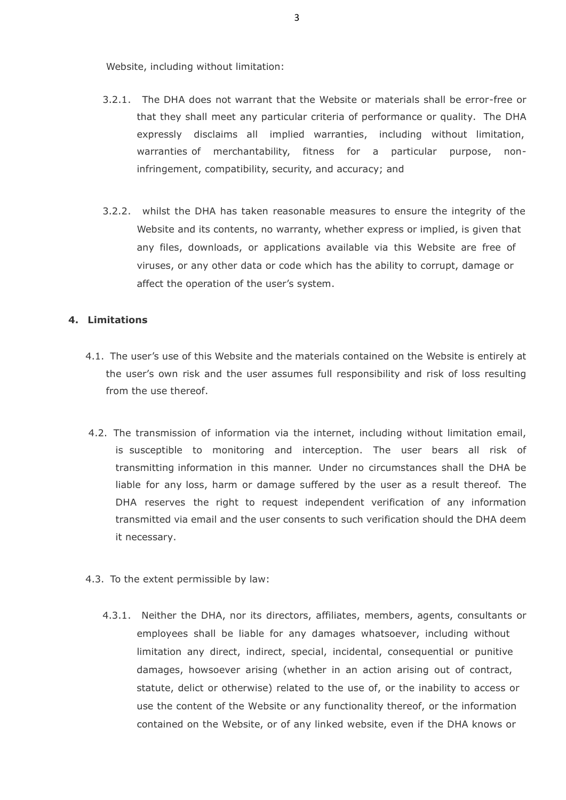Website, including without limitation:

- 3.2.1. The DHA does not warrant that the Website or materials shall be error-free or that they shall meet any particular criteria of performance or quality. The DHA expressly disclaims all implied warranties, including without limitation, warranties of merchantability, fitness for a particular purpose, noninfringement, compatibility, security, and accuracy; and
- 3.2.2. whilst the DHA has taken reasonable measures to ensure the integrity of the Website and its contents, no warranty, whether express or implied, is given that any files, downloads, or applications available via this Website are free of viruses, or any other data or code which has the ability to corrupt, damage or affect the operation of the user's system.

### **4. Limitations**

- 4.1. The user's use of this Website and the materials contained on the Website is entirely at the user's own risk and the user assumes full responsibility and risk of loss resulting from the use thereof.
- 4.2. The transmission of information via the internet, including without limitation email, is susceptible to monitoring and interception. The user bears all risk of transmitting information in this manner. Under no circumstances shall the DHA be liable for any loss, harm or damage suffered by the user as a result thereof. The DHA reserves the right to request independent verification of any information transmitted via email and the user consents to such verification should the DHA deem it necessary.
- 4.3. To the extent permissible by law:
	- 4.3.1. Neither the DHA, nor its directors, affiliates, members, agents, consultants or employees shall be liable for any damages whatsoever, including without limitation any direct, indirect, special, incidental, consequential or punitive damages, howsoever arising (whether in an action arising out of contract, statute, delict or otherwise) related to the use of, or the inability to access or use the content of the Website or any functionality thereof, or the information contained on the Website, or of any linked website, even if the DHA knows or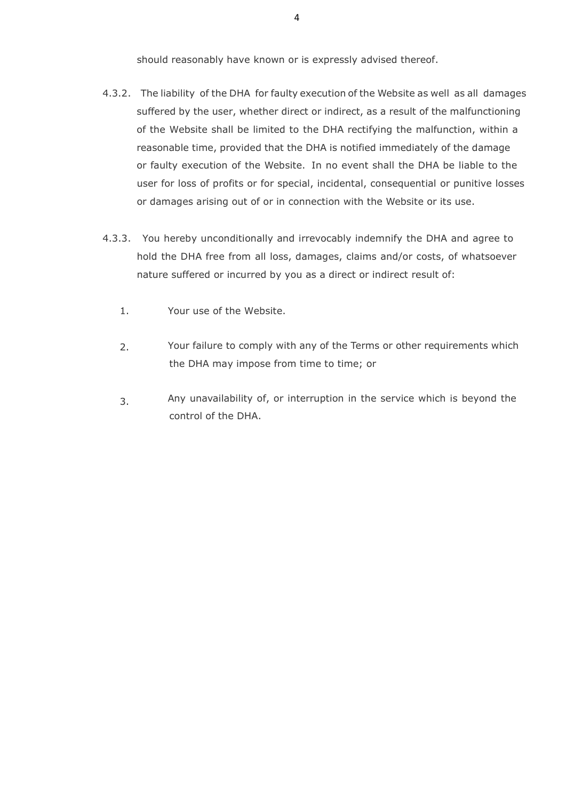should reasonably have known or is expressly advised thereof.

- 4.3.2. The liability of the DHA for faulty execution of the Website as well as all damages suffered by the user, whether direct or indirect, as a result of the malfunctioning of the Website shall be limited to the DHA rectifying the malfunction, within a reasonable time, provided that the DHA is notified immediately of the damage or faulty execution of the Website. In no event shall the DHA be liable to the user for loss of profits or for special, incidental, consequential or punitive losses or damages arising out of or in connection with the Website or its use.
- 4.3.3. You hereby unconditionally and irrevocably indemnify the DHA and agree to hold the DHA free from all loss, damages, claims and/or costs, of whatsoever nature suffered or incurred by you as a direct or indirect result of:
	- 1. Your use of the Website.
	- 2. Your failure to comply with any of the Terms or other requirements which the DHA may impose from time to time; or
	- 3. Any unavailability of, or interruption in the service which is beyond the control of the DHA.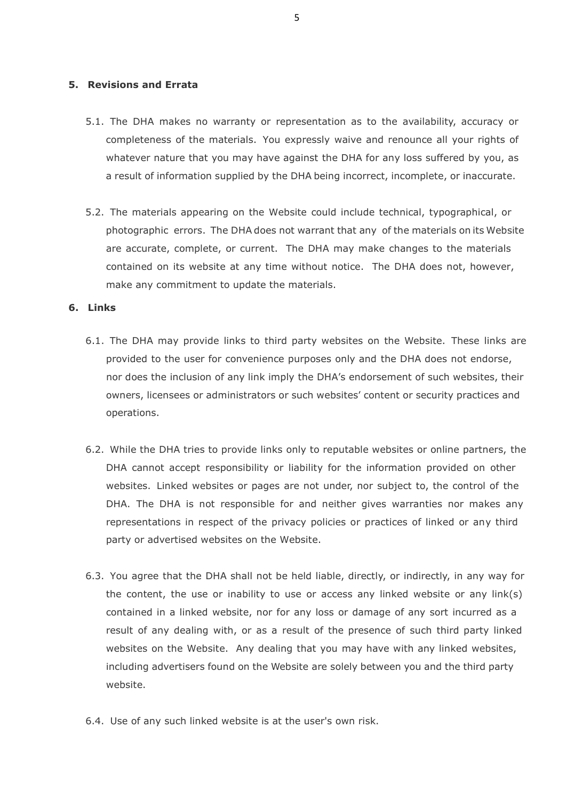#### **5. Revisions and Errata**

- 5.1. The DHA makes no warranty or representation as to the availability, accuracy or completeness of the materials. You expressly waive and renounce all your rights of whatever nature that you may have against the DHA for any loss suffered by you, as a result of information supplied by the DHA being incorrect, incomplete, or inaccurate.
- 5.2. The materials appearing on the Website could include technical, typographical, or photographic errors. The DHA does not warrant that any of the materials on its Website are accurate, complete, or current. The DHA may make changes to the materials contained on its website at any time without notice. The DHA does not, however, make any commitment to update the materials.

### **6. Links**

- 6.1. The DHA may provide links to third party websites on the Website. These links are provided to the user for convenience purposes only and the DHA does not endorse, nor does the inclusion of any link imply the DHA's endorsement of such websites, their owners, licensees or administrators or such websites' content or security practices and operations.
- 6.2. While the DHA tries to provide links only to reputable websites or online partners, the DHA cannot accept responsibility or liability for the information provided on other websites. Linked websites or pages are not under, nor subject to, the control of the DHA. The DHA is not responsible for and neither gives warranties nor makes any representations in respect of the privacy policies or practices of linked or any third party or advertised websites on the Website.
- 6.3. You agree that the DHA shall not be held liable, directly, or indirectly, in any way for the content, the use or inability to use or access any linked website or any link(s) contained in a linked website, nor for any loss or damage of any sort incurred as a result of any dealing with, or as a result of the presence of such third party linked websites on the Website. Any dealing that you may have with any linked websites, including advertisers found on the Website are solely between you and the third party website.
- 6.4. Use of any such linked website is at the user's own risk.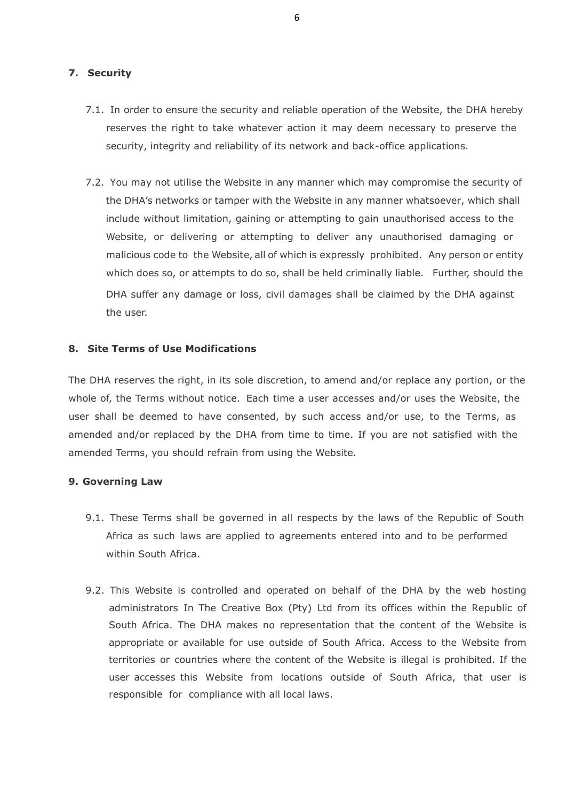# **7. Security**

- 7.1. In order to ensure the security and reliable operation of the Website, the DHA hereby reserves the right to take whatever action it may deem necessary to preserve the security, integrity and reliability of its network and back-office applications.
- 7.2. You may not utilise the Website in any manner which may compromise the security of the DHA's networks or tamper with the Website in any manner whatsoever, which shall include without limitation, gaining or attempting to gain unauthorised access to the Website, or delivering or attempting to deliver any unauthorised damaging or malicious code to the Website, all of which is expressly prohibited. Any person or entity which does so, or attempts to do so, shall be held criminally liable. Further, should the DHA suffer any damage or loss, civil damages shall be claimed by the DHA against the user.

# **8. Site Terms of Use Modifications**

The DHA reserves the right, in its sole discretion, to amend and/or replace any portion, or the whole of, the Terms without notice. Each time a user accesses and/or uses the Website, the user shall be deemed to have consented, by such access and/or use, to the Terms, as amended and/or replaced by the DHA from time to time. If you are not satisfied with the amended Terms, you should refrain from using the Website.

## **9. Governing Law**

- 9.1. These Terms shall be governed in all respects by the laws of the Republic of South Africa as such laws are applied to agreements entered into and to be performed within South Africa.
- 9.2. This Website is controlled and operated on behalf of the DHA by the web hosting administrators In The Creative Box (Pty) Ltd from its offices within the Republic of South Africa. The DHA makes no representation that the content of the Website is appropriate or available for use outside of South Africa. Access to the Website from territories or countries where the content of the Website is illegal is prohibited. If the user accesses this Website from locations outside of South Africa, that user is responsible for compliance with all local laws.